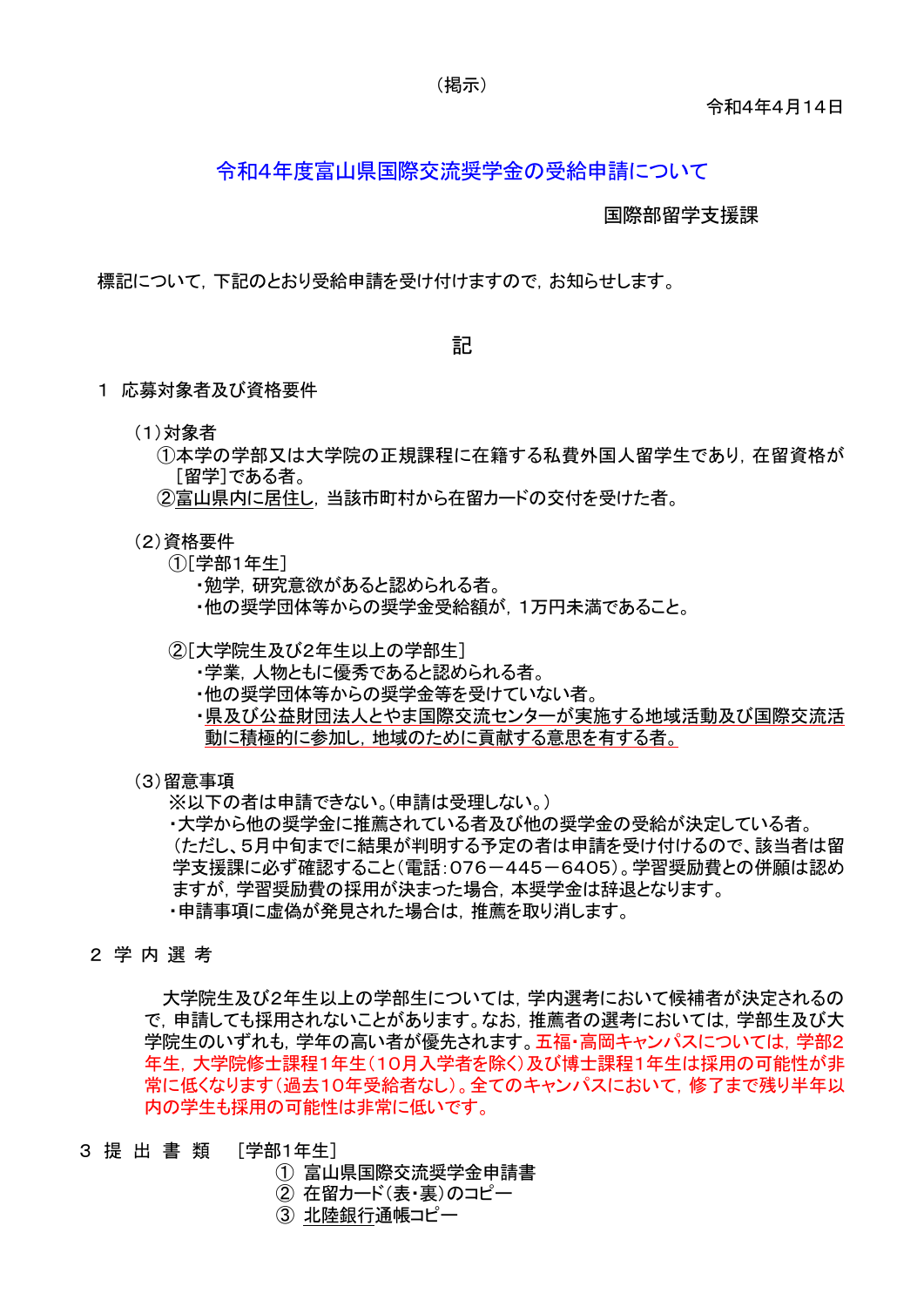#### 令和4年度富山県国際交流奨学金の受給申請について

国際部留学支援課

標記について,下記のとおり受給申請を受け付けますので,お知らせします。

記

- 1 応募対象者及び資格要件
	- (1)対象者
		- ①本学の学部又は大学院の正規課程に在籍する私費外国人留学生であり,在留資格が [留学]である者。
		- ②富山県内に居住し,当該市町村から在留カードの交付を受けた者。
	- (2)資格要件
		- ①[学部1年生]
			- ・勉学,研究意欲があると認められる者。
			- ・他の奨学団体等からの奨学金受給額が,1万円未満であること。
		- ②[大学院生及び2年生以上の学部生]
			- ・学業,人物ともに優秀であると認められる者。
			- ・他の奨学団体等からの奨学金等を受けていない者。
			- ・県及び公益財団法人とやま国際交流センターが実施する地域活動及び国際交流活 動に積極的に参加し,地域のために貢献する意思を有する者。
	- (3)留意事項

※以下の者は申請できない。(申請は受理しない。)

・大学から他の奨学金に推薦されている者及び他の奨学金の受給が決定している者。 (ただし、5月中旬までに結果が判明する予定の者は申請を受け付けるので、該当者は留 学支援課に必ず確認すること(電話:076-445-6405)。学習奨励費との併願は認め ますが,学習奨励費の採用が決まった場合,本奨学金は辞退となります。 ・申請事項に虚偽が発見された場合は,推薦を取り消します。

2 学 内 選 考

大学院生及び2年生以上の学部生については,学内選考において候補者が決定されるの で,申請しても採用されないことがあります。なお,推薦者の選考においては,学部生及び大 学院生のいずれも,学年の高い者が優先されます。五福・高岡キャンパスについては,学部2 年生,大学院修士課程1年生(10月入学者を除く)及び博士課程1年生は採用の可能性が非 常に低くなります(過去10年受給者なし)。全てのキャンパスにおいて,修了まで残り半年以 内の学生も採用の可能性は非常に低いです。

- 3 提出書 類 [学部1年生]
	- ① 富山県国際交流奨学金申請書
	- ② 在留カード(表・裏)のコピー
	- ③ 北陸銀行通帳コピー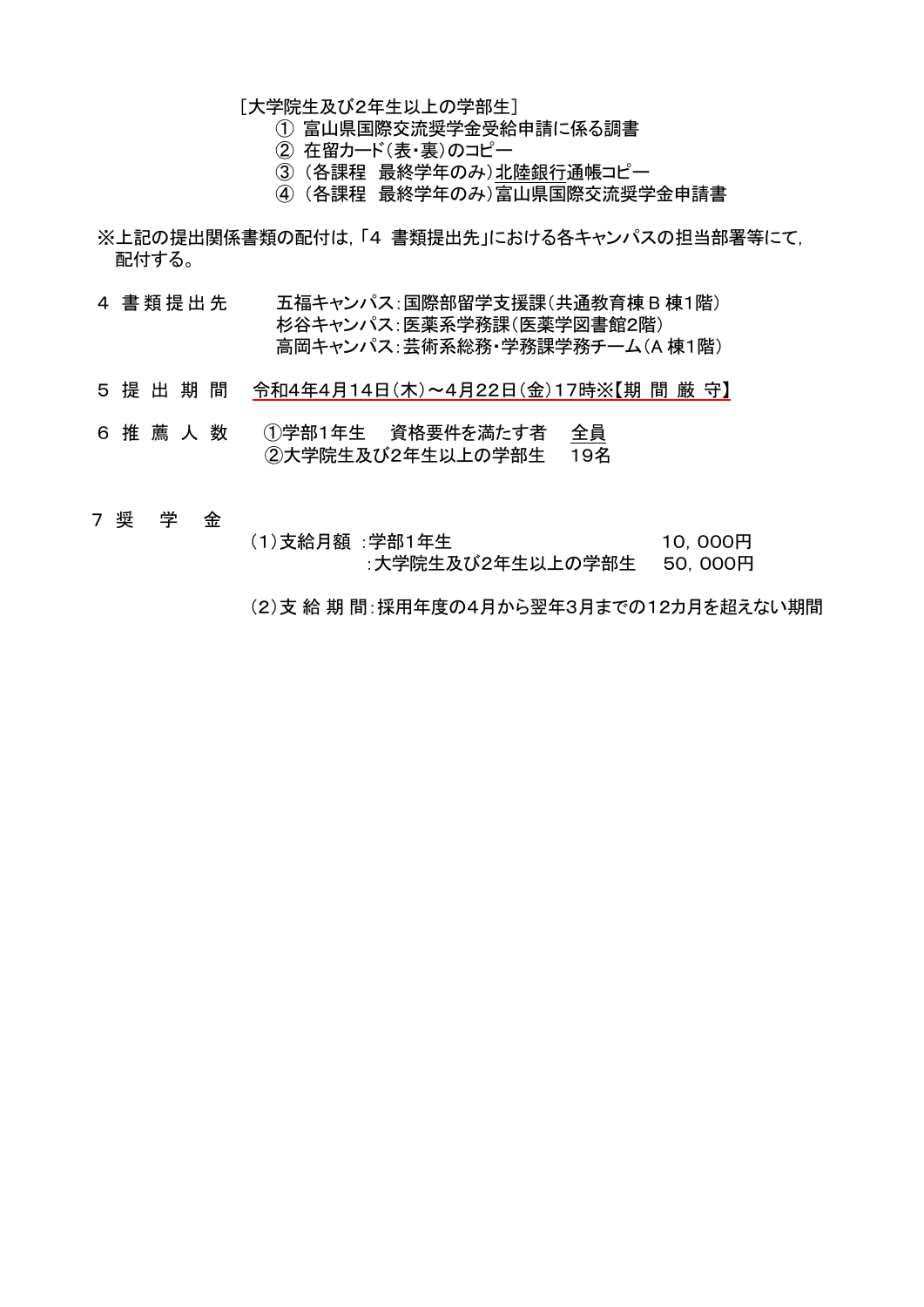[大学院生及び2年生以上の学部生]

① 富山県国際交流奨学金受給申請に係る調書

- ② 在留カード(表・裏)のコピー
- ③ (各課程 最終学年のみ)北陸銀行通帳コピー
- ④ (各課程 最終学年のみ)富山県国際交流奨学金申請書
- ※上記の提出関係書類の配付は,「4 書類提出先」における各キャンパスの担当部署等にて, 配付する。
- 4 書類提出先 五福キャンパス:国際部留学支援課(共通教育棟 B 棟1階) 杉谷キャンパス:医薬系学務課(医薬学図書館2階) 高岡キャンパス:芸術系総務・学務課学務チーム(A 棟1階)
- 5 提出期 間 令和4年4月14日(木)~4月22日(金)17時※【期 間 厳 守】
- 6 推薦人 数 ①学部1年生 資格要件を満たす者 全員 ②大学院生及び2年生以上の学部生 19名
- 7 奨 学 金
- (1)支給月額 :学部1年生 10,000円 :大学院生及び2年生以上の学部生 50,000円
- (2)支給期 間:採用年度の4月から翌年3月までの12カ月を超えない期間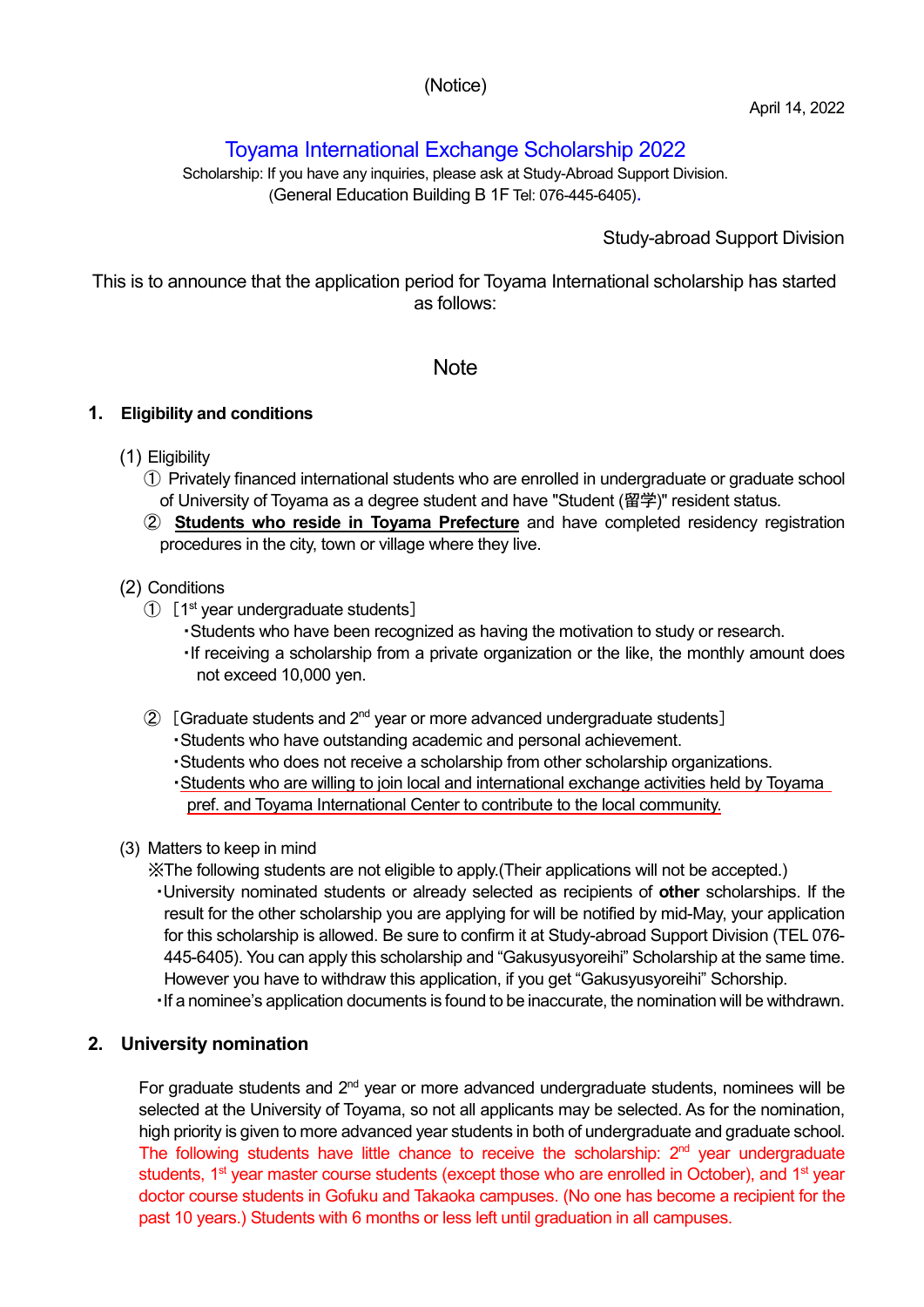## (Notice)

# Toyama International Exchange Scholarship 2022

Scholarship: If you have any inquiries, please ask at Study-Abroad Support Division. (General Education Building B 1F Tel: 076-445-6405).

# Study-abroad Support Division

This is to announce that the application period for Toyama International scholarship has started as follows:

## **Note**

#### **1. Eligibility and conditions**

- (1) Eligibility
	- ① Privately financed international students who are enrolled in undergraduate or graduate school of University of Toyama as a degree student and have "Student (留学)" resident status.
	- ② **Students who reside in Toyama Prefecture** and have completed residency registration procedures in the city, town or village where they live.

#### (2) Conditions

- ① [1st year undergraduate students]
	- ・Students who have been recognized as having the motivation to study or research.
	- ・If receiving a scholarship from a private organization or the like, the monthly amount does not exceed 10,000 yen.
- $\odot$  [Graduate students and 2<sup>nd</sup> year or more advanced undergraduate students]
	- ・Students who have outstanding academic and personal achievement.
	- ・Students who does not receive a scholarship from other scholarship organizations.
	- ・Students who are willing to join local and international exchange activities held by Toyama pref. and Toyama International Center to contribute to the local community.
- (3) Matters to keep in mind
	- ※The following students are not eligible to apply.(Their applications will not be accepted.)
	- ・University nominated students or already selected as recipients of **other** scholarships. If the result for the other scholarship you are applying for will be notified by mid-May, your application for this scholarship is allowed. Be sure to confirm it at Study-abroad Support Division (TEL 076- 445-6405). You can apply this scholarship and "Gakusyusyoreihi" Scholarship at the same time. However you have to withdraw this application, if you get "Gakusyusyoreihi" Schorship.
	- ・If a nominee's application documents is found to be inaccurate, the nomination will be withdrawn.

## **2. University nomination**

For graduate students and 2<sup>nd</sup> year or more advanced undergraduate students, nominees will be selected at the University of Toyama, so not all applicants may be selected. As for the nomination, high priority is given to more advanced year students in both of undergraduate and graduate school. The following students have little chance to receive the scholarship:  $2<sup>nd</sup>$  year undergraduate students, 1<sup>st</sup> year master course students (except those who are enrolled in October), and 1<sup>st</sup> year doctor course students in Gofuku and Takaoka campuses. (No one has become a recipient for the past 10 years.) Students with 6 months or less left until graduation in all campuses.